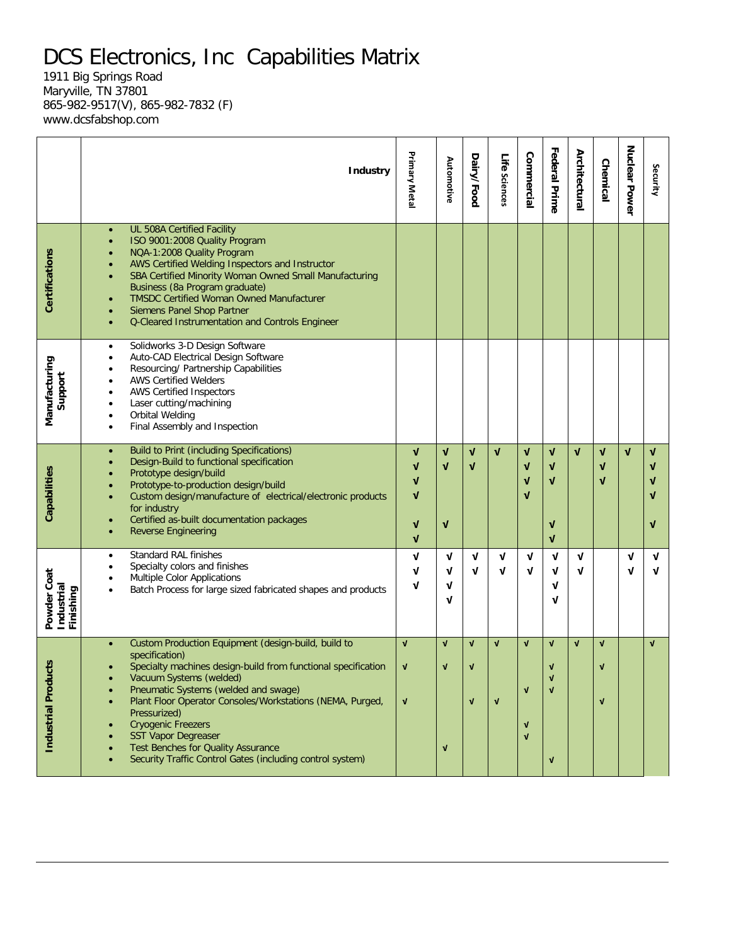## DCS Electronics, Inc Capabilities Matrix

1911 Big Springs Road Maryville, TN 37801 865-982-9517(V), 865-982-7832 (F) www.dcsfabshop.com

|                                        | <b>Industry</b>                                                                                                                                                                                                                                                                                                                                                                                                                                                          | Primary Metal                                                        | Automotive                                       | Dairy/Food                                  | Life Sciences                | Commercial                                                 | <b>Federal Prime</b>                                             | Architectural | <b>Chemical</b>                             | Nuclear Power | Security                        |
|----------------------------------------|--------------------------------------------------------------------------------------------------------------------------------------------------------------------------------------------------------------------------------------------------------------------------------------------------------------------------------------------------------------------------------------------------------------------------------------------------------------------------|----------------------------------------------------------------------|--------------------------------------------------|---------------------------------------------|------------------------------|------------------------------------------------------------|------------------------------------------------------------------|---------------|---------------------------------------------|---------------|---------------------------------|
| Certifications                         | UL 508A Certified Facility<br>$\bullet$<br>ISO 9001:2008 Quality Program<br>NQA-1:2008 Quality Program<br>AWS Certified Welding Inspectors and Instructor<br>SBA Certified Minority Woman Owned Small Manufacturing<br>Business (8a Program graduate)<br><b>TMSDC Certified Woman Owned Manufacturer</b><br>$\bullet$<br>Siemens Panel Shop Partner<br>Q-Cleared Instrumentation and Controls Engineer<br>$\bullet$                                                      |                                                                      |                                                  |                                             |                              |                                                            |                                                                  |               |                                             |               |                                 |
| Manufacturing<br>Support               | Solidworks 3-D Design Software<br>$\bullet$<br>Auto-CAD Electrical Design Software<br>$\bullet$<br>Resourcing/ Partnership Capabilities<br><b>AWS Certified Welders</b><br><b>AWS Certified Inspectors</b><br>$\bullet$<br>Laser cutting/machining<br>٠<br>Orbital Welding<br>$\bullet$<br>Final Assembly and Inspection<br>$\bullet$                                                                                                                                    |                                                                      |                                                  |                                             |                              |                                                            |                                                                  |               |                                             |               |                                 |
| Capabilities                           | <b>Build to Print (including Specifications)</b><br>$\bullet$<br>Design-Build to functional specification<br>Prototype design/build<br>Prototype-to-production design/build<br>Custom design/manufacture of electrical/electronic products<br>for industry<br>Certified as-built documentation packages<br><b>Reverse Engineering</b><br>$\bullet$                                                                                                                       | V<br>$\mathbf v$<br>V<br>$\mathbf v$<br>V<br>$\overline{\mathsf{v}}$ | $\sqrt{ }$<br>$\mathbf v$<br>$\mathbf{v}$        | $\mathbf{v}$<br>$\mathbf v$                 | $\mathbf{v}$                 | $\mathbf{v}$<br>$\mathbf v$<br>V<br>V                      | $\mathbf{v}$<br>V<br>$\mathbf{v}$<br>$\mathbf v$<br>$\mathbf{v}$ | $\mathbf{v}$  | $\mathbf v$<br>$\mathbf{v}$<br>$\mathbf{v}$ | $\mathbf{v}$  | $\mathbf v$<br>V<br>V<br>V<br>V |
| Powder Coat<br>Industrial<br>Finishing | <b>Standard RAL finishes</b><br>$\bullet$<br>Specialty colors and finishes<br><b>Multiple Color Applications</b><br>Batch Process for large sized fabricated shapes and products                                                                                                                                                                                                                                                                                         | V<br>ν<br>ν                                                          | V<br>V<br>V<br>V                                 | V<br>V                                      | V<br>V                       | V<br>ν                                                     | V<br>ν<br>ν<br>ν                                                 | V<br>ν        |                                             | V<br>Λ        | $\mathbf v$<br>$\mathbf v$      |
| cts<br>Industrial Produ                | Custom Production Equipment (design-build, build to<br>$\bullet$<br>specification)<br>Specialty machines design-build from functional specification<br>Vacuum Systems (welded)<br>Pneumatic Systems (welded and swage)<br>Plant Floor Operator Consoles/Workstations (NEMA, Purged,<br>Pressurized)<br><b>Cryogenic Freezers</b><br><b>SST Vapor Degreaser</b><br><b>Test Benches for Quality Assurance</b><br>Security Traffic Control Gates (including control system) | $\mathbf{v}$<br>V<br>V                                               | $\mathbf{v}$<br>$\sqrt{ }$<br>$\pmb{\mathsf{v}}$ | $\mathbf{v}$<br>$\mathbf v$<br>$\mathbf{v}$ | $\mathbf{v}$<br>$\mathbf{v}$ | $\mathbf{V}$<br>$\mathbf{V}$<br>$\sqrt{ }$<br>$\mathbf{v}$ | $\mathbf{V}$<br>$\mathbf v$<br>$\mathbf{v}$<br>$\sqrt{ }$        | $\mathbf{V}$  | $\mathbf{v}$<br>$\mathbf v$<br>$\mathbf{v}$ |               | $\sqrt{ }$                      |